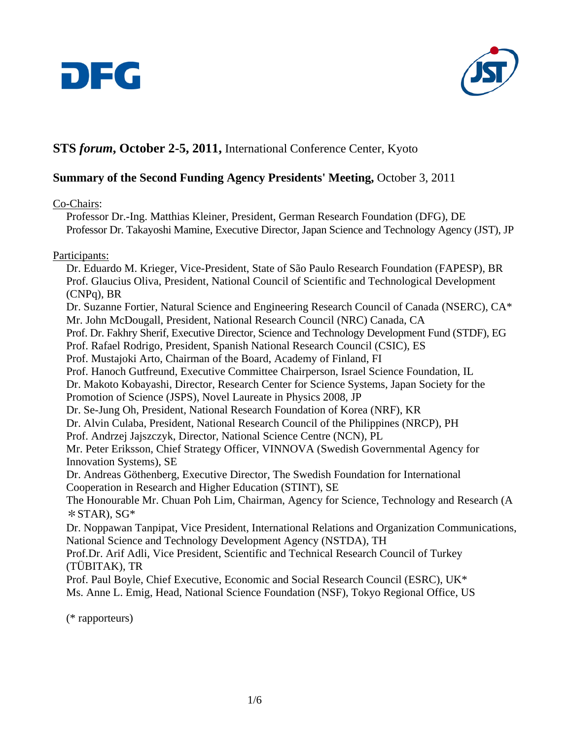



# **STS** *forum***, October 2-5, 2011,** International Conference Center, Kyoto

# **Summary of the Second Funding Agency Presidents' Meeting,** October 3, 2011

Co-Chairs:

Professor Dr.-Ing. Matthias Kleiner, President, German Research Foundation (DFG), DE Professor Dr. Takayoshi Mamine, Executive Director, Japan Science and Technology Agency (JST), JP

#### Participants:

Dr. Eduardo M. Krieger, Vice-President, State of São Paulo Research Foundation (FAPESP), BR Prof. Glaucius Oliva, President, National Council of Scientific and Technological Development (CNPq), BR

Dr. Suzanne Fortier, Natural Science and Engineering Research Council of Canada (NSERC), CA\* Mr. John McDougall, President, National Research Council (NRC) Canada, CA

Prof. Dr. Fakhry Sherif, Executive Director, Science and Technology Development Fund (STDF), EG

Prof. Rafael Rodrigo, President, Spanish National Research Council (CSIC), ES

Prof. Mustajoki Arto, Chairman of the Board, Academy of Finland, FI

Prof. Hanoch Gutfreund, Executive Committee Chairperson, Israel Science Foundation, IL

Dr. Makoto Kobayashi, Director, Research Center for Science Systems, Japan Society for the Promotion of Science (JSPS), Novel Laureate in Physics 2008, JP

Dr. Se-Jung Oh, President, National Research Foundation of Korea (NRF), KR

Dr. Alvin Culaba, President, National Research Council of the Philippines (NRCP), PH

Prof. Andrzej Jajszczyk, Director, National Science Centre (NCN), PL

Mr. Peter Eriksson, Chief Strategy Officer, VINNOVA (Swedish Governmental Agency for Innovation Systems), SE

Dr. Andreas Göthenberg, Executive Director, The Swedish Foundation for International Cooperation in Research and Higher Education (STINT), SE

The Honourable Mr. Chuan Poh Lim, Chairman, Agency for Science, Technology and Research (A  $*$ STAR), SG $*$ 

Dr. Noppawan Tanpipat, Vice President, International Relations and Organization Communications, National Science and Technology Development Agency (NSTDA), TH

Prof.Dr. Arif Adli, Vice President, Scientific and Technical Research Council of Turkey (TÜBITAK), TR

Prof. Paul Boyle, Chief Executive, Economic and Social Research Council (ESRC), UK\* Ms. Anne L. Emig, Head, National Science Foundation (NSF), Tokyo Regional Office, US

(\* rapporteurs)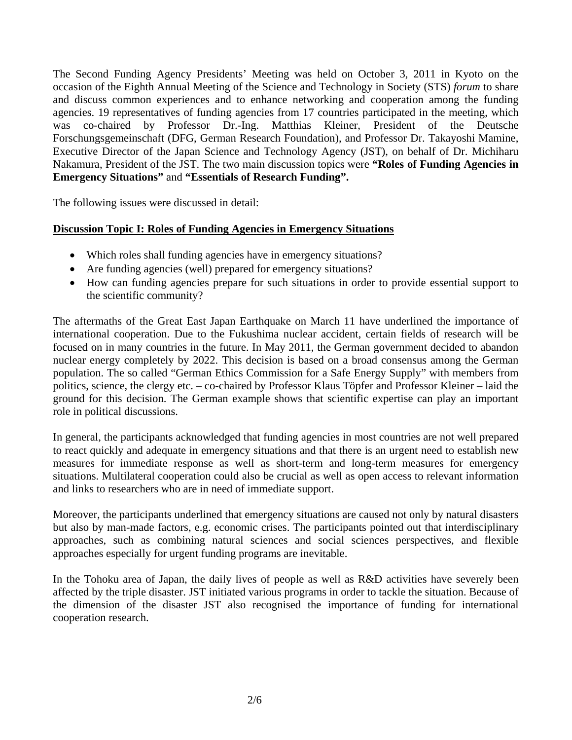The Second Funding Agency Presidents' Meeting was held on October 3, 2011 in Kyoto on the occasion of the Eighth Annual Meeting of the Science and Technology in Society (STS) *forum* to share and discuss common experiences and to enhance networking and cooperation among the funding agencies. 19 representatives of funding agencies from 17 countries participated in the meeting, which was co-chaired by Professor Dr.-Ing. Matthias Kleiner, President of the Deutsche Forschungsgemeinschaft (DFG, German Research Foundation), and Professor Dr. Takayoshi Mamine, Executive Director of the Japan Science and Technology Agency (JST), on behalf of Dr. Michiharu Nakamura, President of the JST. The two main discussion topics were **"Roles of Funding Agencies in Emergency Situations"** and **"Essentials of Research Funding".** 

The following issues were discussed in detail:

## **Discussion Topic I: Roles of Funding Agencies in Emergency Situations**

- Which roles shall funding agencies have in emergency situations?
- Are funding agencies (well) prepared for emergency situations?
- How can funding agencies prepare for such situations in order to provide essential support to the scientific community?

The aftermaths of the Great East Japan Earthquake on March 11 have underlined the importance of international cooperation. Due to the Fukushima nuclear accident, certain fields of research will be focused on in many countries in the future. In May 2011, the German government decided to abandon nuclear energy completely by 2022. This decision is based on a broad consensus among the German population. The so called "German Ethics Commission for a Safe Energy Supply" with members from politics, science, the clergy etc. – co-chaired by Professor Klaus Töpfer and Professor Kleiner – laid the ground for this decision. The German example shows that scientific expertise can play an important role in political discussions.

In general, the participants acknowledged that funding agencies in most countries are not well prepared to react quickly and adequate in emergency situations and that there is an urgent need to establish new measures for immediate response as well as short-term and long-term measures for emergency situations. Multilateral cooperation could also be crucial as well as open access to relevant information and links to researchers who are in need of immediate support.

Moreover, the participants underlined that emergency situations are caused not only by natural disasters but also by man-made factors, e.g. economic crises. The participants pointed out that interdisciplinary approaches, such as combining natural sciences and social sciences perspectives, and flexible approaches especially for urgent funding programs are inevitable.

In the Tohoku area of Japan, the daily lives of people as well as R&D activities have severely been affected by the triple disaster. JST initiated various programs in order to tackle the situation. Because of the dimension of the disaster JST also recognised the importance of funding for international cooperation research.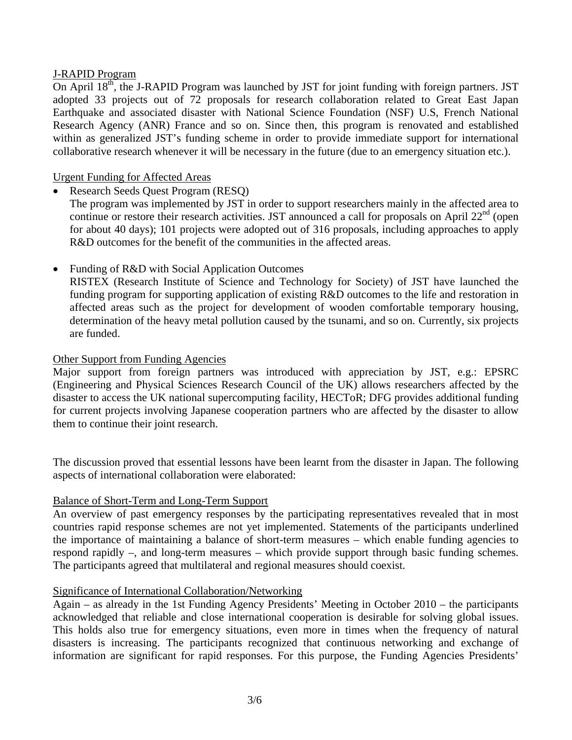## J-RAPID Program

On April  $18<sup>th</sup>$ , the J-RAPID Program was launched by JST for joint funding with foreign partners. JST adopted 33 projects out of 72 proposals for research collaboration related to Great East Japan Earthquake and associated disaster with National Science Foundation (NSF) U.S, French National Research Agency (ANR) France and so on. Since then, this program is renovated and established within as generalized JST's funding scheme in order to provide immediate support for international collaborative research whenever it will be necessary in the future (due to an emergency situation etc.).

## Urgent Funding for Affected Areas

• Research Seeds Quest Program (RESO)

The program was implemented by JST in order to support researchers mainly in the affected area to continue or restore their research activities. JST announced a call for proposals on April  $22<sup>nd</sup>$  (open for about 40 days); 101 projects were adopted out of 316 proposals, including approaches to apply R&D outcomes for the benefit of the communities in the affected areas.

• Funding of R&D with Social Application Outcomes

RISTEX (Research Institute of Science and Technology for Society) of JST have launched the funding program for supporting application of existing R&D outcomes to the life and restoration in affected areas such as the project for development of wooden comfortable temporary housing, determination of the heavy metal pollution caused by the tsunami, and so on. Currently, six projects are funded.

#### Other Support from Funding Agencies

Major support from foreign partners was introduced with appreciation by JST, e.g.: EPSRC (Engineering and Physical Sciences Research Council of the UK) allows researchers affected by the disaster to access the UK national supercomputing facility, HECToR; DFG provides additional funding for current projects involving Japanese cooperation partners who are affected by the disaster to allow them to continue their joint research.

The discussion proved that essential lessons have been learnt from the disaster in Japan. The following aspects of international collaboration were elaborated:

#### Balance of Short-Term and Long-Term Support

An overview of past emergency responses by the participating representatives revealed that in most countries rapid response schemes are not yet implemented. Statements of the participants underlined the importance of maintaining a balance of short-term measures – which enable funding agencies to respond rapidly –, and long-term measures – which provide support through basic funding schemes. The participants agreed that multilateral and regional measures should coexist.

#### Significance of International Collaboration/Networking

Again – as already in the 1st Funding Agency Presidents' Meeting in October 2010 – the participants acknowledged that reliable and close international cooperation is desirable for solving global issues. This holds also true for emergency situations, even more in times when the frequency of natural disasters is increasing. The participants recognized that continuous networking and exchange of information are significant for rapid responses. For this purpose, the Funding Agencies Presidents'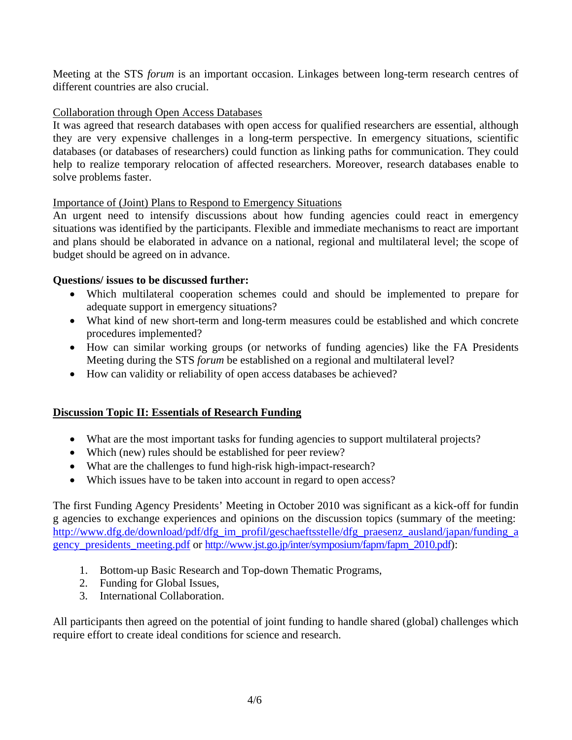Meeting at the STS *forum* is an important occasion. Linkages between long-term research centres of different countries are also crucial.

## Collaboration through Open Access Databases

It was agreed that research databases with open access for qualified researchers are essential, although they are very expensive challenges in a long-term perspective. In emergency situations, scientific databases (or databases of researchers) could function as linking paths for communication. They could help to realize temporary relocation of affected researchers. Moreover, research databases enable to solve problems faster.

## Importance of (Joint) Plans to Respond to Emergency Situations

An urgent need to intensify discussions about how funding agencies could react in emergency situations was identified by the participants. Flexible and immediate mechanisms to react are important and plans should be elaborated in advance on a national, regional and multilateral level; the scope of budget should be agreed on in advance.

## **Questions/ issues to be discussed further:**

- Which multilateral cooperation schemes could and should be implemented to prepare for adequate support in emergency situations?
- What kind of new short-term and long-term measures could be established and which concrete procedures implemented?
- How can similar working groups (or networks of funding agencies) like the FA Presidents Meeting during the STS *forum* be established on a regional and multilateral level?
- How can validity or reliability of open access databases be achieved?

## **Discussion Topic II: Essentials of Research Funding**

- What are the most important tasks for funding agencies to support multilateral projects?
- Which (new) rules should be established for peer review?
- What are the challenges to fund high-risk high-impact-research?
- Which issues have to be taken into account in regard to open access?

The first Funding Agency Presidents' Meeting in October 2010 was significant as a kick-off for fundin g agencies to exchange experiences and opinions on the discussion topics (summary of the meeting: [http://www.dfg.de/download/pdf/dfg\\_im\\_profil/geschaeftsstelle/dfg\\_praesenz\\_ausland/japan/funding\\_a](http://www.dfg.de/download/pdf/dfg_im_profil/geschaeftsstelle/dfg_praesenz_ausland/japan/funding_agency_presidents_meeting.pdf) [gency\\_presidents\\_meeting.pdf](http://www.dfg.de/download/pdf/dfg_im_profil/geschaeftsstelle/dfg_praesenz_ausland/japan/funding_agency_presidents_meeting.pdf) or [http://www.jst.go.jp/inter/symposium/fapm/fapm\\_2010.pdf\)](http://www.jst.go.jp/inter/symposium/fapm/fapm_2010.pdf):

- 1. Bottom-up Basic Research and Top-down Thematic Programs,
- 2. Funding for Global Issues,
- 3. International Collaboration.

All participants then agreed on the potential of joint funding to handle shared (global) challenges which require effort to create ideal conditions for science and research.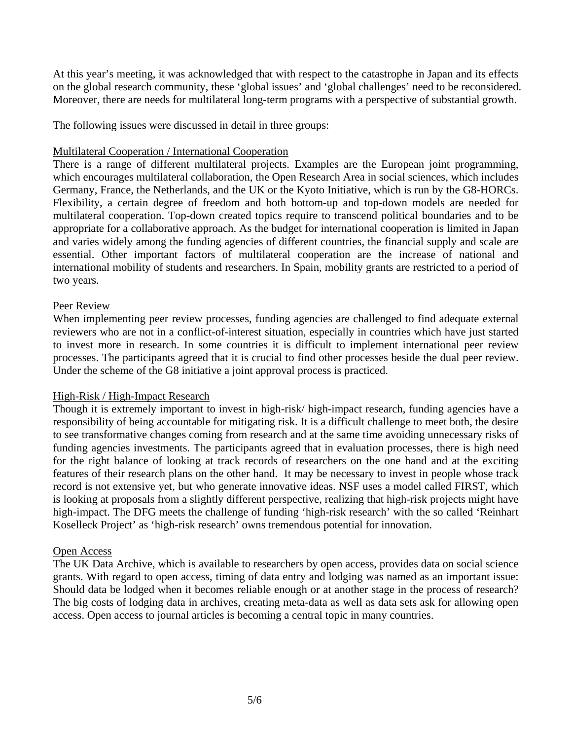At this year's meeting, it was acknowledged that with respect to the catastrophe in Japan and its effects on the global research community, these 'global issues' and 'global challenges' need to be reconsidered. Moreover, there are needs for multilateral long-term programs with a perspective of substantial growth.

The following issues were discussed in detail in three groups:

## Multilateral Cooperation / International Cooperation

There is a range of different multilateral projects. Examples are the European joint programming, which encourages multilateral collaboration, the Open Research Area in social sciences, which includes Germany, France, the Netherlands, and the UK or the Kyoto Initiative, which is run by the G8-HORCs. Flexibility, a certain degree of freedom and both bottom-up and top-down models are needed for multilateral cooperation. Top-down created topics require to transcend political boundaries and to be appropriate for a collaborative approach. As the budget for international cooperation is limited in Japan and varies widely among the funding agencies of different countries, the financial supply and scale are essential. Other important factors of multilateral cooperation are the increase of national and international mobility of students and researchers. In Spain, mobility grants are restricted to a period of two years.

## Peer Review

When implementing peer review processes, funding agencies are challenged to find adequate external reviewers who are not in a conflict-of-interest situation, especially in countries which have just started to invest more in research. In some countries it is difficult to implement international peer review processes. The participants agreed that it is crucial to find other processes beside the dual peer review. Under the scheme of the G8 initiative a joint approval process is practiced.

#### High-Risk / High-Impact Research

Though it is extremely important to invest in high-risk/ high-impact research, funding agencies have a responsibility of being accountable for mitigating risk. It is a difficult challenge to meet both, the desire to see transformative changes coming from research and at the same time avoiding unnecessary risks of funding agencies investments. The participants agreed that in evaluation processes, there is high need for the right balance of looking at track records of researchers on the one hand and at the exciting features of their research plans on the other hand. It may be necessary to invest in people whose track record is not extensive yet, but who generate innovative ideas. NSF uses a model called FIRST, which is looking at proposals from a slightly different perspective, realizing that high-risk projects might have high-impact. The DFG meets the challenge of funding 'high-risk research' with the so called 'Reinhart Koselleck Project' as 'high-risk research' owns tremendous potential for innovation.

#### Open Access

The UK Data Archive, which is available to researchers by open access, provides data on social science grants. With regard to open access, timing of data entry and lodging was named as an important issue: Should data be lodged when it becomes reliable enough or at another stage in the process of research? The big costs of lodging data in archives, creating meta-data as well as data sets ask for allowing open access. Open access to journal articles is becoming a central topic in many countries.